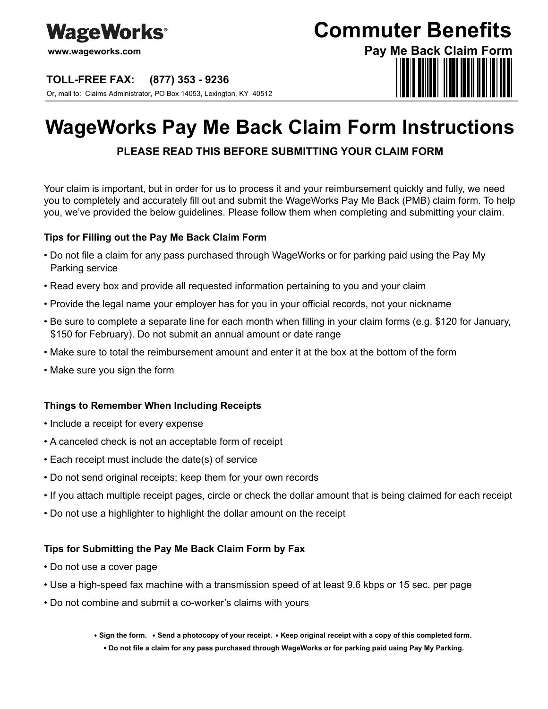

**www.wageworks.com**

#### **TOLL-FREE FAX: (877) 353 - 9236**

Or, mail to: Claims Administrator, PO Box 14053, Lexington, KY 40512

## **Commuter Benefits**

# **Pay Me Back Claim Form**

## **WageWorks Pay Me Back Claim Form Instructions**

### **PLEASE READ THIS BEFORE SUBMITTING YOUR CLAIM FORM**

Your claim is important, but in order for us to process it and your reimbursement quickly and fully, we need you to completely and accurately fill out and submit the WageWorks Pay Me Back (PMB) claim form. To help you, we've provided the below guidelines. Please follow them when completing and submitting your claim.

#### **Tips for Filling out the Pay Me Back Claim Form**

- Do not file a claim for any pass purchased through WageWorks or for parking paid using the Pay My Parking service
- Read every box and provide all requested information pertaining to you and your claim
- Provide the legal name your employer has for you in your official records, not your nickname
- Be sure to complete a separate line for each month when filling in your claim forms (e.g. \$120 for January, \$150 for February). Do not submit an annual amount or date range
- Make sure to total the reimbursement amount and enter it at the box at the bottom of the form
- Make sure you sign the form

#### **Things to Remember When Including Receipts**

- Include a receipt for every expense
- A canceled check is not an acceptable form of receipt
- Each receipt must include the date(s) of service
- Do not send original receipts; keep them for your own records
- If you attach multiple receipt pages, circle or check the dollar amount that is being claimed for each receipt
- Do not use a highlighter to highlight the dollar amount on the receipt

#### **Tips for Submitting the Pay Me Back Claim Form by Fax**

- Do not use a cover page
- Use a high-speed fax machine with a transmission speed of at least 9.6 kbps or 15 sec. per page
- Do not combine and submit a co-worker's claims with yours

• Sign the form. • Send a photocopy of your receipt. • Keep original receipt with a copy of this completed form.  **Do not file a claim for any pass purchased through WageWorks or for parking paid using Pay My Parking.**